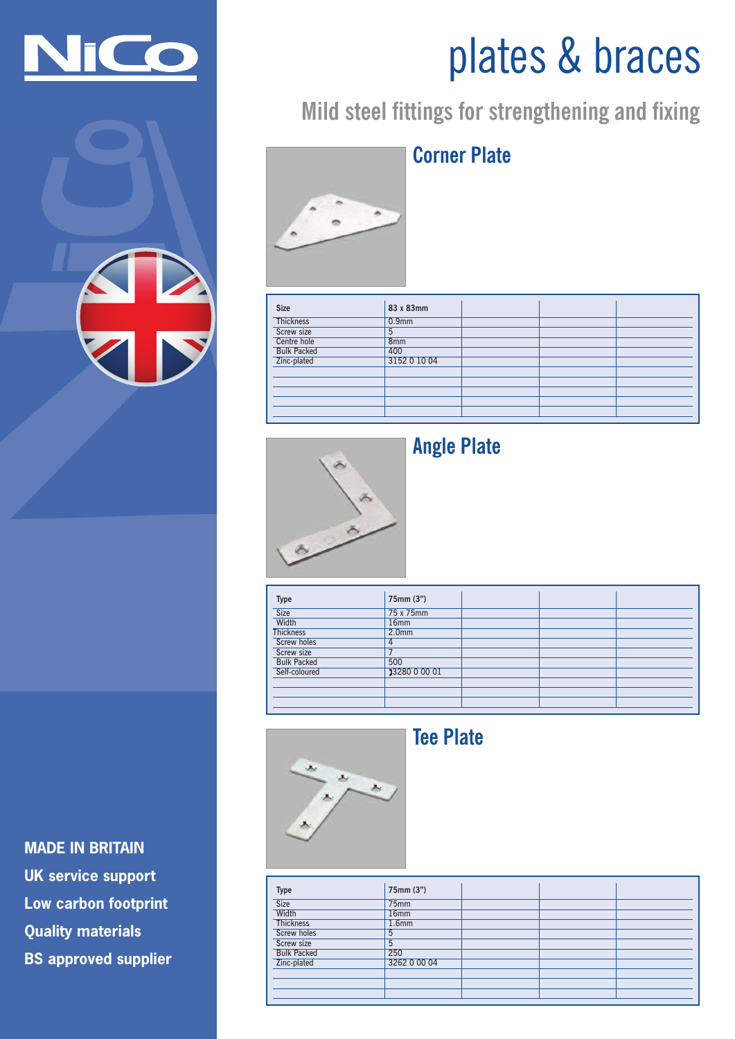



# **MADE IN BRITAIN UK service support Low carbon footprint Quality materials BS approved supplier**

# plates & braces

# **Mild steel fittings for strengthening and fixing**



# **Corner Plate**

| <b>Size</b>        | 83 x 83mm         |  |  |
|--------------------|-------------------|--|--|
| <b>Thickness</b>   | 0.9 <sub>mm</sub> |  |  |
| Screw size         | 5                 |  |  |
| Centre hole        | 8 <sub>mm</sub>   |  |  |
| <b>Bulk Packed</b> | 400               |  |  |
| Zinc-plated        | 3152 0 10 04      |  |  |
|                    |                   |  |  |
|                    |                   |  |  |
|                    |                   |  |  |
|                    |                   |  |  |
|                    |                   |  |  |



## **Angle Plate**

| <b>Type</b>        | 75mm (3")         |  |  |
|--------------------|-------------------|--|--|
| <b>Size</b>        | 75 x 75mm         |  |  |
| Width              | 16 <sub>mm</sub>  |  |  |
| <b>Thickness</b>   | 2.0 <sub>mm</sub> |  |  |
| <b>Screw holes</b> |                   |  |  |
| Screw size         |                   |  |  |
| <b>Bulk Packed</b> | 500               |  |  |
| Self-coloured      | 33280 0 00 01     |  |  |
|                    |                   |  |  |
|                    |                   |  |  |
|                    |                   |  |  |



#### **Tee Plate**

| <b>Type</b>        | 75mm (3")         |  |  |
|--------------------|-------------------|--|--|
| Size               | 75mm              |  |  |
| Width              | 16mm              |  |  |
| <b>Thickness</b>   | 1.6 <sub>mm</sub> |  |  |
| <b>Screw holes</b> | 5                 |  |  |
| Screw size         | 5                 |  |  |
| <b>Bulk Packed</b> | 250               |  |  |
| Zinc-plated        | 3262 0 00 04      |  |  |
|                    |                   |  |  |
|                    |                   |  |  |
|                    |                   |  |  |